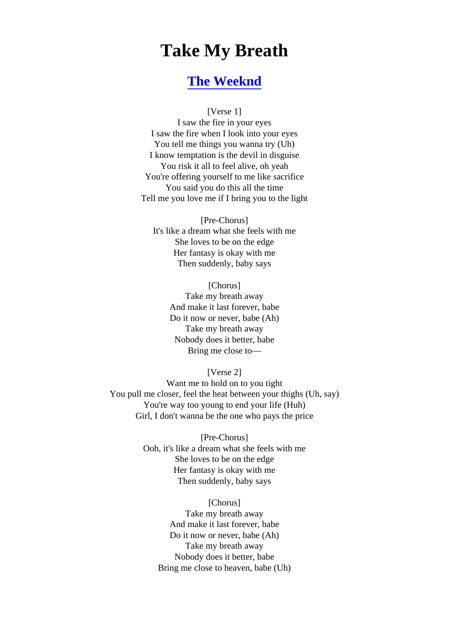## Take My Breath

## [The Weeknd](https://www.jetlyrics.net/search.html?q=The+Weeknd)

## [Verse 1]

I saw the fire in your eyes I saw the fire when I look into your eyes You tell me things you wanna try (Uh) I know temptation is the devil in disguise You risk it all to feel alive, oh yeah You're offering yourself to me like sacrifice You said you do this all the time Tell me you love me if I bring you to the light

[Pre-Chorus] It's like a dream what she feels with me She loves to be on the edge Her fantasy is okay with me Then suddenly, baby says

> [Chorus] Take my breath away And make it last forever, babe Do it now or never, babe (Ah) Take my breath away Nobody does it better, babe Bring me close to—

> > [Verse 2]

Want me to hold on to you tight You pull me closer, feel the heat between your thighs (Uh, say) You're way too young to end your life (Huh) Girl, I don't wanna be the one who pays the price

> [Pre-Chorus] Ooh, it's like a dream what she feels with me She loves to be on the edge Her fantasy is okay with me Then suddenly, baby says

[Chorus] Take my breath away And make it last forever, babe Do it now or never, babe (Ah) Take my breath away Nobody does it better, babe Bring me close to heaven, babe (Uh)